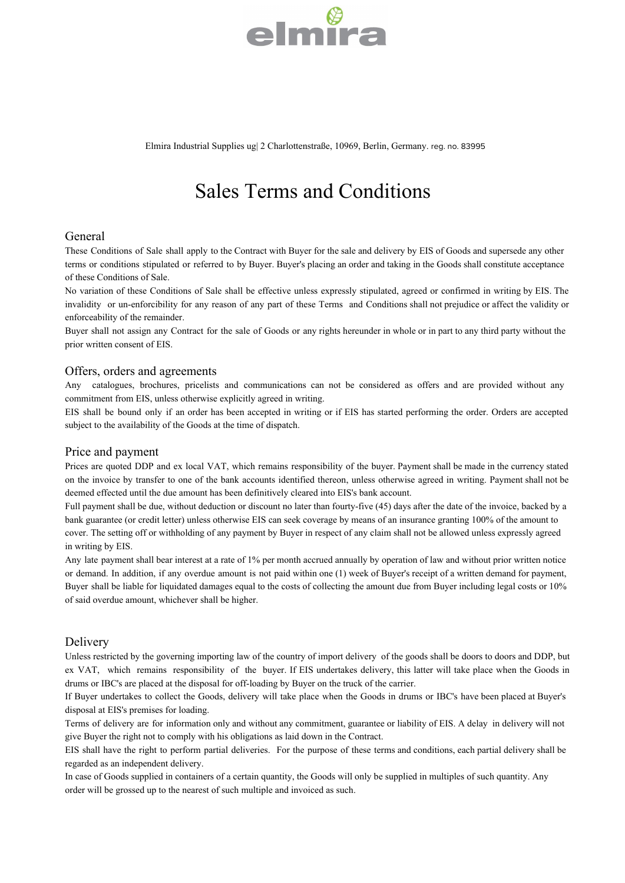

Elmira Industrial Supplies ug| 2 Charlottenstraße, 10969, Berlin, Germany. reg. no. 83995

# Sales Terms and Conditions

# General

These Conditions of Sale shall apply to the Contract with Buyer for the sale and delivery by EIS of Goods and supersede any other terms or conditions stipulated or referred to by Buyer. Buyer's placing an order and taking in the Goods shall constitute acceptance of these Conditions of Sale.

No variation of these Conditions of Sale shall be effective unless expressly stipulated, agreed or confirmed in writing by EIS. The invalidity or un-enforcibility for any reason of any part of these Terms and Conditions shall not prejudice or affect the validity or enforceability of the remainder.

Buyer shall not assign any Contract for the sale of Goods or any rights hereunder in whole or in part to any third party without the prior written consent of EIS.

# Offers, orders and agreements

Any catalogues, brochures, pricelists and communications can not be considered as offers and are provided without any commitment from EIS, unless otherwise explicitly agreed in writing.

EIS shall be bound only if an order has been accepted in writing or if EIS has started performing the order. Orders are accepted subject to the availability of the Goods at the time of dispatch.

#### Price and payment

Prices are quoted DDP and ex local VAT, which remains responsibility of the buyer. Payment shall be made in the currency stated on the invoice by transfer to one of the bank accounts identified thereon, unless otherwise agreed in writing. Payment shall not be deemed effected until the due amount has been definitively cleared into EIS's bank account.

Full payment shall be due, without deduction or discount no later than fourty-five (45) days after the date of the invoice, backed by a bank guarantee (or credit letter) unless otherwise EIS can seek coverage by means of an insurance granting 100% of the amount to cover. The setting off or withholding of any payment by Buyer in respect of any claim shall not be allowed unless expressly agreed in writing by EIS.

Any late payment shall bear interest at a rate of 1% per month accrued annually by operation of law and without prior written notice or demand. In addition, if any overdue amount is not paid within one (1) week of Buyer's receipt of a written demand for payment, Buyer shall be liable for liquidated damages equal to the costs of collecting the amount due from Buyer including legal costs or 10% of said overdue amount, whichever shall be higher.

# Delivery

Unless restricted by the governing importing law of the country of import delivery of the goods shall be doors to doors and DDP, but ex VAT, which remains responsibility of the buyer. If EIS undertakes delivery, this latter will take place when the Goods in drums or IBC's are placed at the disposal for off-loading by Buyer on the truck of the carrier.

If Buyer undertakes to collect the Goods, delivery will take place when the Goods in drums or IBC's have been placed at Buyer's disposal at EIS's premises for loading.

Terms of delivery are for information only and without any commitment, guarantee or liability of EIS. A delay in delivery will not give Buyer the right not to comply with his obligations as laid down in the Contract.

EIS shall have the right to perform partial deliveries. For the purpose of these terms and conditions, each partial delivery shall be regarded as an independent delivery.

In case of Goods supplied in containers of a certain quantity, the Goods will only be supplied in multiples of such quantity. Any order will be grossed up to the nearest of such multiple and invoiced as such.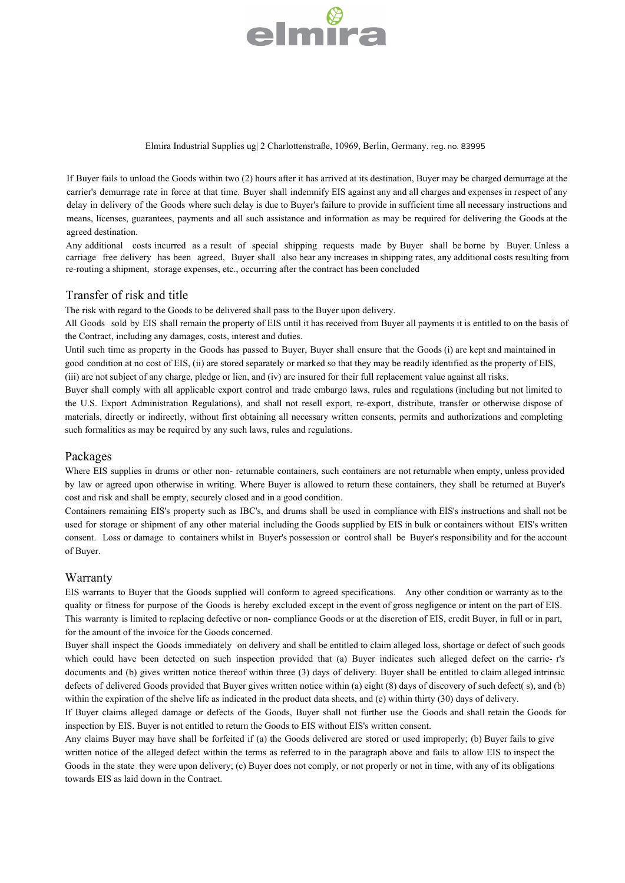# almıra

Elmira Industrial Supplies ug| 2 Charlottenstraße, 10969, Berlin, Germany. reg. no. 83995

If Buyer fails to unload the Goods within two (2) hours after it has arrived at its destination, Buyer may be charged demurrage at the carrier's demurrage rate in force at that time. Buyer shall indemnify EIS against any and all charges and expenses in respect of any delay in delivery of the Goods where such delay is due to Buyer's failure to provide in sufficient time all necessary instructions and means, licenses, guarantees, payments and all such assistance and information as may be required for delivering the Goods at the agreed destination.

Any additional costs incurred as a result of special shipping requests made by Buyer shall be borne by Buyer. Unless a carriage free delivery has been agreed, Buyer shall also bear any increases in shipping rates, any additional costs resulting from re-routing a shipment, storage expenses, etc., occurring after the contract has been concluded

#### Transfer of risk and title

The risk with regard to the Goods to be delivered shall pass to the Buyer upon delivery.

All Goods sold by EIS shall remain the property of EIS until it has received from Buyer all payments it is entitled to on the basis of the Contract, including any damages, costs, interest and duties.

Until such time as property in the Goods has passed to Buyer, Buyer shall ensure that the Goods (i) are kept and maintained in good condition at no cost of EIS, (ii) are stored separately or marked so that they may be readily identified as the property of EIS, (iii) are not subject of any charge, pledge or lien, and (iv) are insured for their full replacement value against all risks.

Buyer shall comply with all applicable export control and trade embargo laws, rules and regulations (including but not limited to the U.S. Export Administration Regulations), and shall not resell export, re-export, distribute, transfer or otherwise dispose of materials, directly or indirectly, without first obtaining all necessary written consents, permits and authorizations and completing such formalities as may be required by any such laws, rules and regulations.

# Packages

Where EIS supplies in drums or other non- returnable containers, such containers are not returnable when empty, unless provided by law or agreed upon otherwise in writing. Where Buyer is allowed to return these containers, they shall be returned at Buyer's cost and risk and shall be empty, securely closed and in a good condition.

Containers remaining EIS's property such as IBC's, and drums shall be used in compliance with EIS's instructions and shall not be used for storage or shipment of any other material including the Goods supplied by EIS in bulk or containers without EIS's written consent. Loss or damage to containers whilst in Buyer's possession or control shall be Buyer's responsibility and for the account of Buyer.

# **Warranty**

EIS warrants to Buyer that the Goods supplied will conform to agreed specifications. Any other condition or warranty as to the quality or fitness for purpose of the Goods is hereby excluded except in the event of gross negligence or intent on the part of EIS. This warranty is limited to replacing defective or non- compliance Goods or at the discretion of EIS, credit Buyer, in full or in part, for the amount of the invoice for the Goods concerned.

Buyer shall inspect the Goods immediately on delivery and shall be entitled to claim alleged loss, shortage or defect of such goods which could have been detected on such inspection provided that (a) Buyer indicates such alleged defect on the carrie- r's documents and (b) gives written notice thereof within three (3) days of delivery. Buyer shall be entitled to claim alleged intrinsic defects of delivered Goods provided that Buyer gives written notice within (a) eight (8) days of discovery of such defect( s), and (b) within the expiration of the shelve life as indicated in the product data sheets, and (c) within thirty (30) days of delivery.

If Buyer claims alleged damage or defects of the Goods, Buyer shall not further use the Goods and shall retain the Goods for inspection by EIS. Buyer is not entitled to return the Goods to EIS without EIS's written consent.

Any claims Buyer may have shall be forfeited if (a) the Goods delivered are stored or used improperly; (b) Buyer fails to give written notice of the alleged defect within the terms as referred to in the paragraph above and fails to allow EIS to inspect the Goods in the state they were upon delivery; (c) Buyer does not comply, or not properly or not in time, with any of its obligations towards EIS as laid down in the Contract.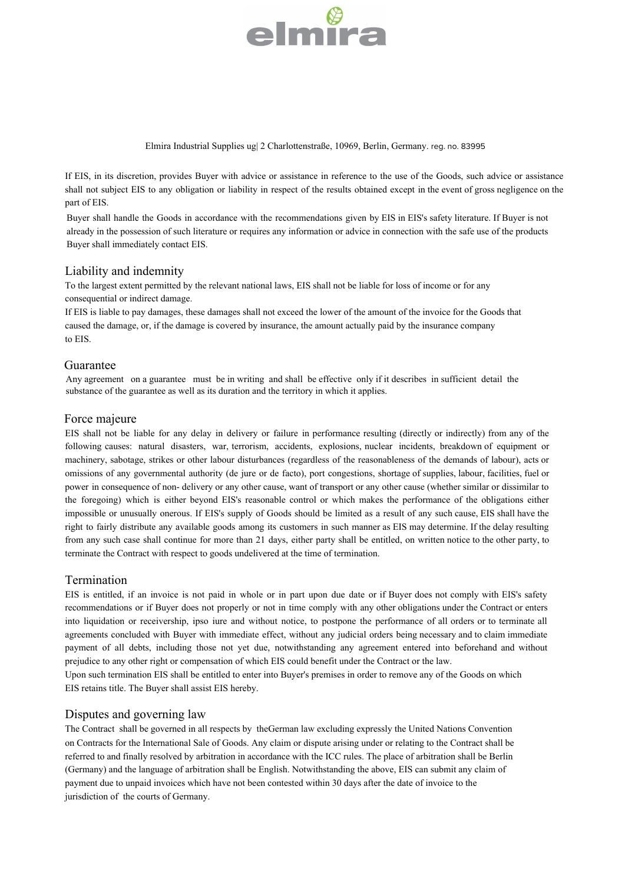# elmira

Elmira Industrial Supplies ug| 2 Charlottenstraße, 10969, Berlin, Germany. reg. no. 83995

If EIS, in its discretion, provides Buyer with advice or assistance in reference to the use of the Goods, such advice or assistance shall not subject EIS to any obligation or liability in respect of the results obtained except in the event of gross negligence on the part of EIS.

Buyer shall handle the Goods in accordance with the recommendations given by EIS in EIS's safety literature. If Buyer is not already in the possession of such literature or requires any information or advice in connection with the safe use of the products Buyer shall immediately contact EIS.

#### Liability and indemnity

To the largest extent permitted by the relevant national laws, EIS shall not be liable for loss of income or for any consequential or indirect damage.

If EIS is liable to pay damages, these damages shall not exceed the lower of the amount of the invoice for the Goods that caused the damage, or, if the damage is covered by insurance, the amount actually paid by the insurance company to EIS.

#### Guarantee

Any agreement on a guarantee must be in writing and shall be effective only if it describes in sufficient detail the substance of the guarantee as well as its duration and the territory in which it applies.

#### Force majeure

EIS shall not be liable for any delay in delivery or failure in performance resulting (directly or indirectly) from any of the following causes: natural disasters, war, terrorism, accidents, explosions, nuclear incidents, breakdown of equipment or machinery, sabotage, strikes or other labour disturbances (regardless of the reasonableness of the demands of labour), acts or omissions of any governmental authority (de jure or de facto), port congestions, shortage of supplies, labour, facilities, fuel or power in consequence of non- delivery or any other cause, want of transport or any other cause (whether similar or dissimilar to the foregoing) which is either beyond EIS's reasonable control or which makes the performance of the obligations either impossible or unusually onerous. If EIS's supply of Goods should be limited as a result of any such cause, EIS shall have the right to fairly distribute any available goods among its customers in such manner as EIS may determine. If the delay resulting from any such case shall continue for more than 21 days, either party shall be entitled, on written notice to the other party, to terminate the Contract with respect to goods undelivered at the time of termination.

# Termination

EIS is entitled, if an invoice is not paid in whole or in part upon due date or if Buyer does not comply with EIS's safety recommendations or if Buyer does not properly or not in time comply with any other obligations under the Contract or enters into liquidation or receivership, ipso iure and without notice, to postpone the performance of all orders or to terminate all agreements concluded with Buyer with immediate effect, without any judicial orders being necessary and to claim immediate payment of all debts, including those not yet due, notwithstanding any agreement entered into beforehand and without prejudice to any other right or compensation of which EIS could benefit under the Contract or the law.

Upon such termination EIS shall be entitled to enter into Buyer's premises in order to remove any of the Goods on which EIS retains title. The Buyer shall assist EIS hereby.

# Disputes and governing law

The Contract shall be governed in all respects by theGerman law excluding expressly the United Nations Convention on Contracts for the International Sale of Goods. Any claim or dispute arising under or relating to the Contract shall be referred to and finally resolved by arbitration in accordance with the ICC rules. The place of arbitration shall be Berlin (Germany) and the language of arbitration shall be English. Notwithstanding the above, EIS can submit any claim of payment due to unpaid invoices which have not been contested within 30 days after the date of invoice to the jurisdiction of the courts of Germany.